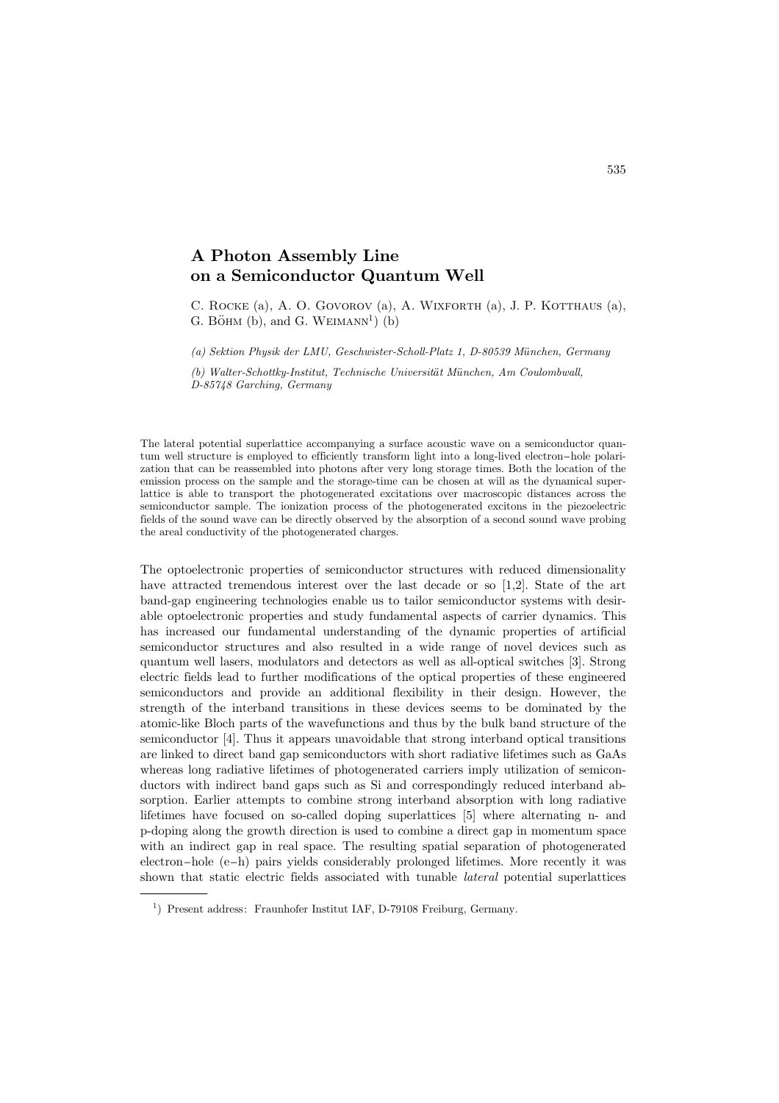## A Photon Assembly Line on a Semiconductor Quantum Well

C. ROCKE (a), A. O. GOVOROV (a), A. WIXFORTH (a), J. P. KOTTHAUS (a), G. BÖHM  $(b)$ , and G. WEIMANN<sup>1</sup> $)(b)$ 

(a) Sektion Physik der LMU, Geschwister-Scholl-Platz 1, D-80539 Munchen, Germany

(b) Walter-Schottky-Institut, Technische Universitat Munchen, Am Coulombwall, D-85748 Garching, Germany

The lateral potential superlattice accompanying a surface acoustic wave on a semiconductor quantum well structure is employed to efficiently transform light into a long-lived electron-hole polarization that can be reassembled into photons after very long storage times. Both the location of the emission process on the sample and the storage-time can be chosen at will as the dynamical superlattice is able to transport the photogenerated excitations over macroscopic distances across the semiconductor sample. The ionization process of the photogenerated excitons in the piezoelectric fields of the sound wave can be directly observed by the absorption of a second sound wave probing the areal conductivity of the photogenerated charges.

The optoelectronic properties of semiconductor structures with reduced dimensionality have attracted tremendous interest over the last decade or so [1,2]. State of the art band-gap engineering technologies enable us to tailor semiconductor systems with desirable optoelectronic properties and study fundamental aspects of carrier dynamics. This has increased our fundamental understanding of the dynamic properties of artificial semiconductor structures and also resulted in a wide range of novel devices such as quantum well lasers, modulators and detectors as well as all-optical switches [3]. Strong electric fields lead to further modifications of the optical properties of these engineered semiconductors and provide an additional flexibility in their design. However, the strength of the interband transitions in these devices seems to be dominated by the atomic-like Bloch parts of the wavefunctions and thus by the bulk band structure of the semiconductor [4]. Thus it appears unavoidable that strong interband optical transitions are linked to direct band gap semiconductors with short radiative lifetimes such as GaAs whereas long radiative lifetimes of photogenerated carriers imply utilization of semiconductors with indirect band gaps such as Si and correspondingly reduced interband absorption. Earlier attempts to combine strong interband absorption with long radiative lifetimes have focused on so-called doping superlattices [5] where alternating n- and p-doping along the growth direction is used to combine a direct gap in momentum space with an indirect gap in real space. The resulting spatial separation of photogenerated electron-hole  $(e-h)$  pairs yields considerably prolonged lifetimes. More recently it was shown that static electric fields associated with tunable *lateral* potential superlattices

<sup>1</sup> Present address: Fraunhofer Institut IAF, D-79108 Freiburg, Germany.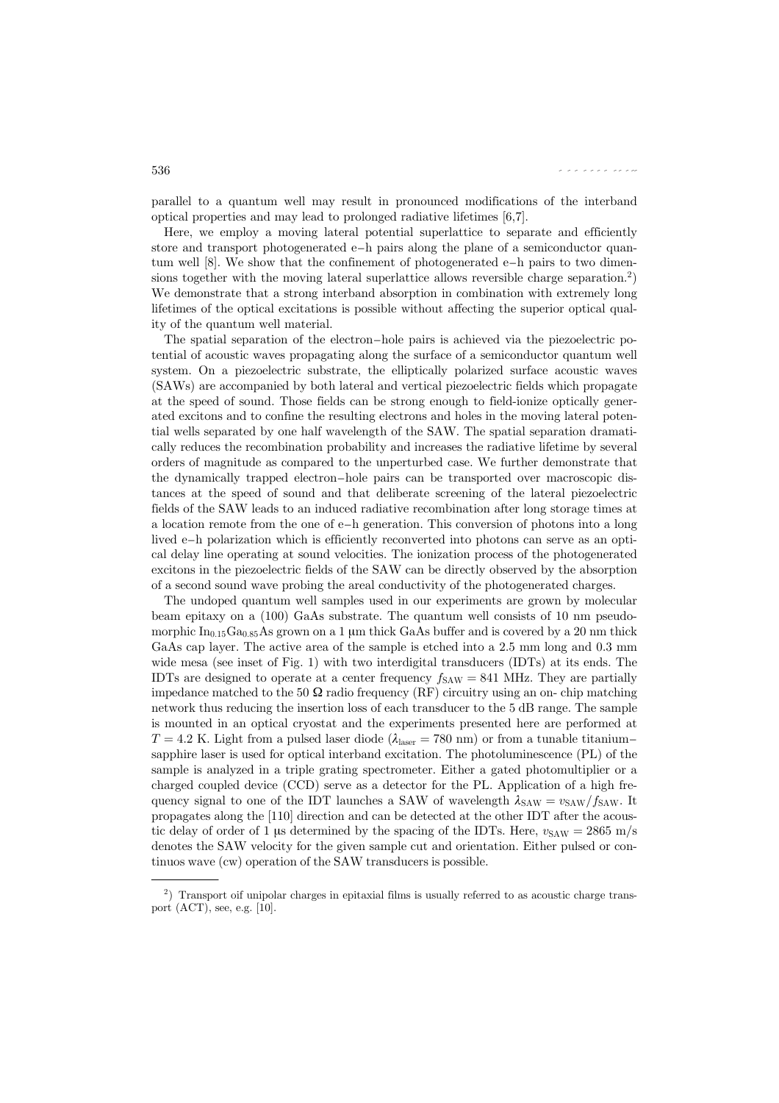parallel to a quantum well may result in pronounced modifications of the interband optical properties and may lead to prolonged radiative lifetimes [6,7].

Here, we employ a moving lateral potential superlattice to separate and efficiently store and transport photogenerated e-h pairs along the plane of a semiconductor quantum well  $[8]$ . We show that the confinement of photogenerated e-h pairs to two dimensions together with the moving lateral superlattice allows reversible charge separation.<sup>2</sup>) We demonstrate that a strong interband absorption in combination with extremely long lifetimes of the optical excitations is possible without affecting the superior optical quality of the quantum well material.

The spatial separation of the electron-hole pairs is achieved via the piezoelectric potential of acoustic waves propagating along the surface of a semiconductor quantum well system. On a piezoelectric substrate, the elliptically polarized surface acoustic waves (SAWs) are accompanied by both lateral and vertical piezoelectric fields which propagate at the speed of sound. Those fields can be strong enough to field-ionize optically generated excitons and to confine the resulting electrons and holes in the moving lateral potential wells separated by one half wavelength of the SAW. The spatial separation dramatically reduces the recombination probability and increases the radiative lifetime by several orders of magnitude as compared to the unperturbed case. We further demonstrate that the dynamically trapped electron-hole pairs can be transported over macroscopic distances at the speed of sound and that deliberate screening of the lateral piezoelectric fields of the SAW leads to an induced radiative recombination after long storage times at a location remote from the one of e±h generation. This conversion of photons into a long lived e-h polarization which is efficiently reconverted into photons can serve as an optical delay line operating at sound velocities. The ionization process of the photogenerated excitons in the piezoelectric fields of the SAW can be directly observed by the absorption of a second sound wave probing the areal conductivity of the photogenerated charges.

The undoped quantum well samples used in our experiments are grown by molecular beam epitaxy on a (100) GaAs substrate. The quantum well consists of 10 nm pseudomorphic  $In_{0.15}Ga_{0.85}As$  grown on a 1 µm thick GaAs buffer and is covered by a 20 nm thick GaAs cap layer. The active area of the sample is etched into a 2.5 mm long and 0.3 mm wide mesa (see inset of Fig. 1) with two interdigital transducers (IDTs) at its ends. The IDTs are designed to operate at a center frequency  $f_{SAW} = 841$  MHz. They are partially impedance matched to the 50  $\Omega$  radio frequency (RF) circuitry using an on- chip matching network thus reducing the insertion loss of each transducer to the 5 dB range. The sample is mounted in an optical cryostat and the experiments presented here are performed at  $T = 4.2$  K. Light from a pulsed laser diode ( $\lambda_{\text{laser}} = 780$  nm) or from a tunable titaniumsapphire laser is used for optical interband excitation. The photoluminescence (PL) of the sample is analyzed in a triple grating spectrometer. Either a gated photomultiplier or a charged coupled device (CCD) serve as a detector for the PL. Application of a high frequency signal to one of the IDT launches a SAW of wavelength  $\lambda_{\text{SAW}} = v_{\text{SAW}}/f_{\text{SAW}}$ . It propagates along the [110] direction and can be detected at the other IDT after the acoustic delay of order of 1 µs determined by the spacing of the IDTs. Here,  $v_{\text{SAW}} = 2865 \text{ m/s}$ denotes the SAW velocity for the given sample cut and orientation. Either pulsed or continuos wave (cw) operation of the SAW transducers is possible.

<sup>2</sup> ) Transport oif unipolar charges in epitaxial films is usually referred to as acoustic charge transport (ACT), see, e.g. [10].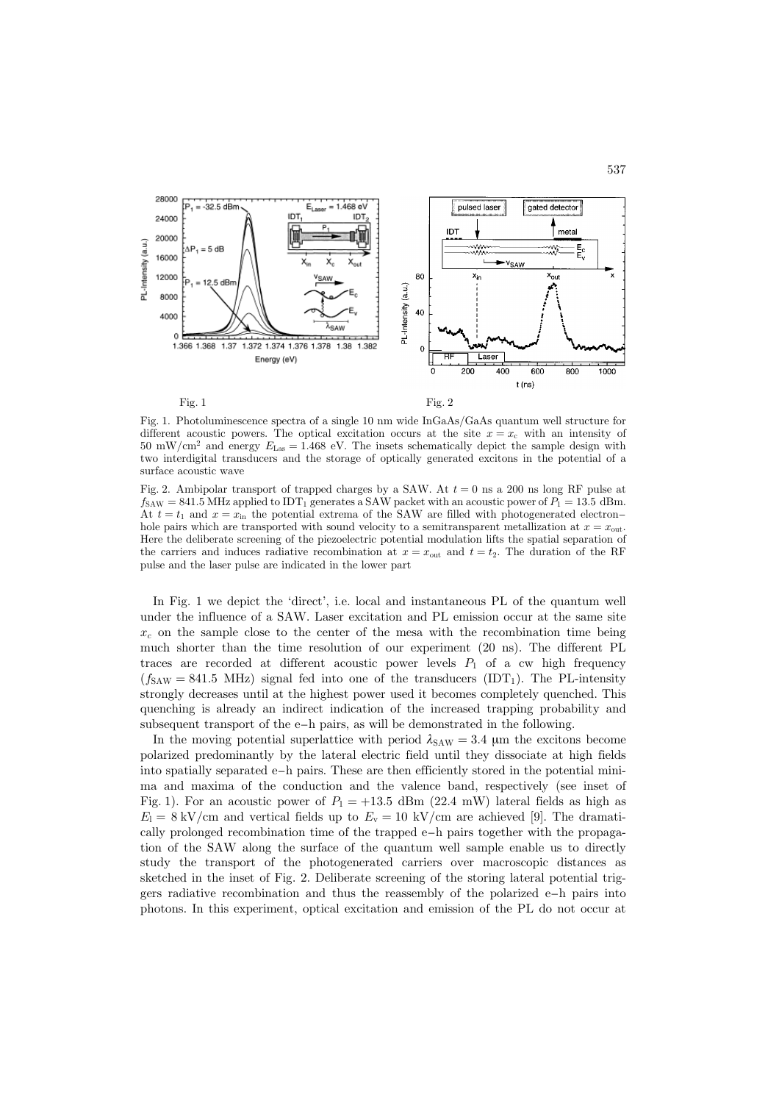

Fig. 1. Photoluminescence spectra of a single 10 nm wide InGaAs/GaAs quantum well structure for different acoustic powers. The optical excitation occurs at the site  $x = x_c$  with an intensity of 50 mW/cm<sup>2</sup> and energy  $E_{\text{Las}} = 1.468 \text{ eV}$ . The insets schematically depict the sample design with two interdigital transducers and the storage of optically generated excitons in the potential of a surface acoustic wave

Fig. 2. Ambipolar transport of trapped charges by a SAW. At  $t = 0$  ns a 200 ns long RF pulse at  $f_{\text{SAW}} = 841.5 \text{ MHz}$  applied to  $\text{IDT}_1$  generates a SAW packet with an acoustic power of  $P_1 = 13.5 \text{ dBm}$ . At  $t = t_1$  and  $x = x_{\text{in}}$  the potential extrema of the SAW are filled with photogenerated electron hole pairs which are transported with sound velocity to a semitransparent metallization at  $x = x_{\text{out}}$ . Here the deliberate screening of the piezoelectric potential modulation lifts the spatial separation of the carriers and induces radiative recombination at  $x = x_{\text{out}}$  and  $t = t_2$ . The duration of the RF pulse and the laser pulse are indicated in the lower part

In Fig. 1 we depict the 'direct', i.e. local and instantaneous PL of the quantum well under the influence of a SAW. Laser excitation and PL emission occur at the same site  $x_c$  on the sample close to the center of the mesa with the recombination time being much shorter than the time resolution of our experiment (20 ns). The different PL traces are recorded at different acoustic power levels  $P_1$  of a cw high frequency  $(f<sub>SAW</sub> = 841.5 MHz)$  signal fed into one of the transducers (IDT<sub>1</sub>). The PL-intensity strongly decreases until at the highest power used it becomes completely quenched. This quenching is already an indirect indication of the increased trapping probability and subsequent transport of the  $e-h$  pairs, as will be demonstrated in the following.

In the moving potential superlattice with period  $\lambda_{SAW} = 3.4 \mu m$  the excitons become polarized predominantly by the lateral electric field until they dissociate at high fields into spatially separated e-h pairs. These are then efficiently stored in the potential minima and maxima of the conduction and the valence band, respectively (see inset of Fig. 1). For an acoustic power of  $P_1 = +13.5$  dBm (22.4 mW) lateral fields as high as  $E_1 = 8 \text{ kV/cm}$  and vertical fields up to  $E_v = 10 \text{ kV/cm}$  are achieved [9]. The dramatically prolonged recombination time of the trapped e-h pairs together with the propagation of the SAW along the surface of the quantum well sample enable us to directly study the transport of the photogenerated carriers over macroscopic distances as sketched in the inset of Fig. 2. Deliberate screening of the storing lateral potential triggers radiative recombination and thus the reassembly of the polarized e-h pairs into photons. In this experiment, optical excitation and emission of the PL do not occur at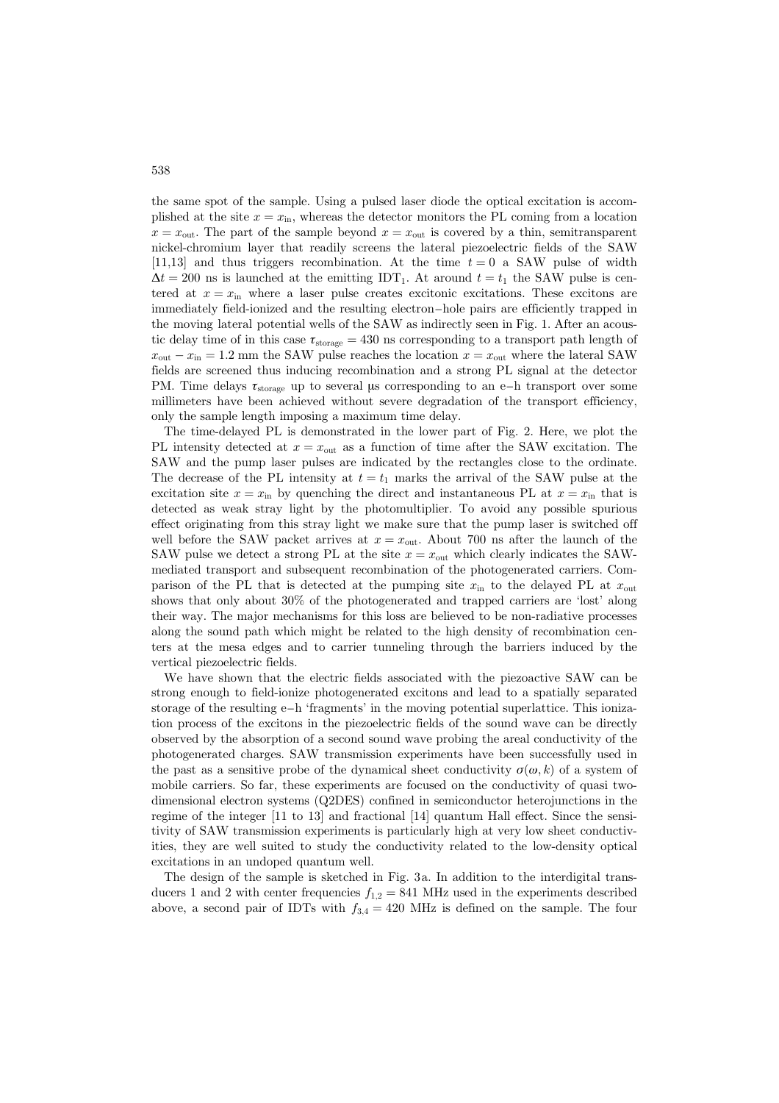the same spot of the sample. Using a pulsed laser diode the optical excitation is accomplished at the site  $x = x_{\text{in}}$ , whereas the detector monitors the PL coming from a location  $x = x_{\text{out}}$ . The part of the sample beyond  $x = x_{\text{out}}$  is covered by a thin, semitransparent nickel-chromium layer that readily screens the lateral piezoelectric fields of the SAW [11,13] and thus triggers recombination. At the time  $t = 0$  a SAW pulse of width  $\Delta t = 200$  ns is launched at the emitting IDT<sub>1</sub>. At around  $t = t_1$  the SAW pulse is centered at  $x = x_{\text{in}}$  where a laser pulse creates excitonic excitations. These excitons are immediately field-ionized and the resulting electron-hole pairs are efficiently trapped in the moving lateral potential wells of the SAW as indirectly seen in Fig. 1. After an acoustic delay time of in this case  $\tau_{\text{storage}} = 430$  ns corresponding to a transport path length of  $x_{\text{out}} - x_{\text{in}} = 1.2 \text{ mm}$  the SAW pulse reaches the location  $x = x_{\text{out}}$  where the lateral SAW fields are screened thus inducing recombination and a strong PL signal at the detector PM. Time delays  $\tau_{storage}$  up to several us corresponding to an e-h transport over some millimeters have been achieved without severe degradation of the transport efficiency, only the sample length imposing a maximum time delay.

The time-delayed PL is demonstrated in the lower part of Fig. 2. Here, we plot the PL intensity detected at  $x = x_{\text{out}}$  as a function of time after the SAW excitation. The SAW and the pump laser pulses are indicated by the rectangles close to the ordinate. The decrease of the PL intensity at  $t = t_1$  marks the arrival of the SAW pulse at the excitation site  $x = x_{\text{in}}$  by quenching the direct and instantaneous PL at  $x = x_{\text{in}}$  that is detected as weak stray light by the photomultiplier. To avoid any possible spurious effect originating from this stray light we make sure that the pump laser is switched off well before the SAW packet arrives at  $x = x_{\text{out}}$ . About 700 ns after the launch of the SAW pulse we detect a strong PL at the site  $x = x_{\text{out}}$  which clearly indicates the SAWmediated transport and subsequent recombination of the photogenerated carriers. Comparison of the PL that is detected at the pumping site  $x_{\text{in}}$  to the delayed PL at  $x_{\text{out}}$ shows that only about 30% of the photogenerated and trapped carriers are `lost' along their way. The major mechanisms for this loss are believed to be non-radiative processes along the sound path which might be related to the high density of recombination centers at the mesa edges and to carrier tunneling through the barriers induced by the vertical piezoelectric fields.

We have shown that the electric fields associated with the piezoactive SAW can be strong enough to field-ionize photogenerated excitons and lead to a spatially separated storage of the resulting  $e-h$  'fragments' in the moving potential superlattice. This ionization process of the excitons in the piezoelectric fields of the sound wave can be directly observed by the absorption of a second sound wave probing the areal conductivity of the photogenerated charges. SAW transmission experiments have been successfully used in the past as a sensitive probe of the dynamical sheet conductivity  $\sigma(\omega, k)$  of a system of mobile carriers. So far, these experiments are focused on the conductivity of quasi twodimensional electron systems (Q2DES) confined in semiconductor heterojunctions in the regime of the integer [11 to 13] and fractional [14] quantum Hall effect. Since the sensitivity of SAW transmission experiments is particularly high at very low sheet conductivities, they are well suited to study the conductivity related to the low-density optical excitations in an undoped quantum well.

The design of the sample is sketched in Fig. 3a. In addition to the interdigital transducers 1 and 2 with center frequencies  $f_{1,2} = 841$  MHz used in the experiments described above, a second pair of IDTs with  $f_{3,4} = 420$  MHz is defined on the sample. The four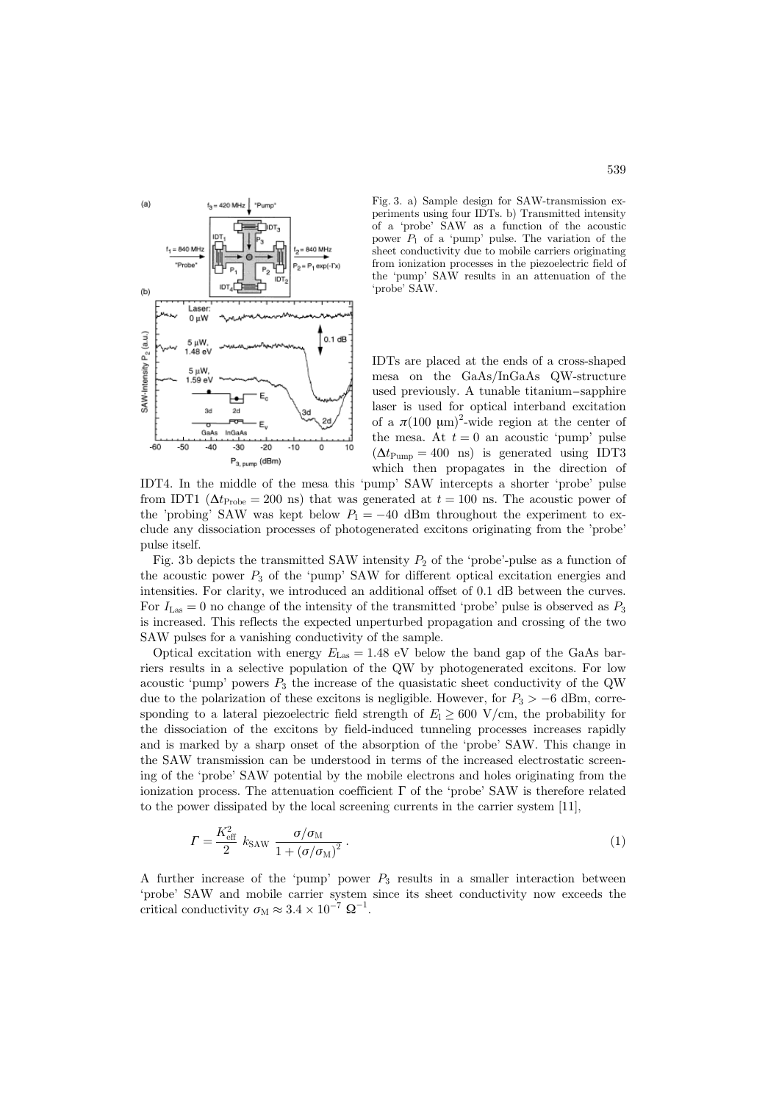

Fig. 3. a) Sample design for SAW-transmission experiments using four IDTs. b) Transmitted intensity of a `probe' SAW as a function of the acoustic power  $P_1$  of a 'pump' pulse. The variation of the sheet conductivity due to mobile carriers originating from ionization processes in the piezoelectric field of the `pump' SAW results in an attenuation of the `probe' SAW.

IDTs are placed at the ends of a cross-shaped mesa on the GaAs/InGaAs QW-structure used previously. A tunable titanium-sapphire laser is used for optical interband excitation of a  $\pi(100 \text{ }\mu\text{m})^2$ -wide region at the center of the mesa. At  $t = 0$  an acoustic 'pump' pulse  $(\Delta t_{\text{Pump}} = 400 \text{ ns})$  is generated using IDT3 which then propagates in the direction of

IDT4. In the middle of the mesa this `pump' SAW intercepts a shorter `probe' pulse from IDT1 ( $\Delta t_{\text{Probe}} = 200 \text{ ns}$ ) that was generated at  $t = 100 \text{ ns}$ . The acoustic power of the 'probing' SAW was kept below  $P_1 = -40$  dBm throughout the experiment to exclude any dissociation processes of photogenerated excitons originating from the 'probe' pulse itself.

Fig. 3b depicts the transmitted SAW intensity  $P_2$  of the 'probe'-pulse as a function of the acoustic power  $P_3$  of the 'pump' SAW for different optical excitation energies and intensities. For clarity, we introduced an additional offset of 0.1 dB between the curves. For  $I_{\text{Las}} = 0$  no change of the intensity of the transmitted 'probe' pulse is observed as  $P_3$ is increased. This reflects the expected unperturbed propagation and crossing of the two SAW pulses for a vanishing conductivity of the sample.

Optical excitation with energy  $E_{\text{Las}} = 1.48 \text{ eV}$  below the band gap of the GaAs barriers results in a selective population of the QW by photogenerated excitons. For low acoustic 'pump' powers  $P_3$  the increase of the quasistatic sheet conductivity of the QW due to the polarization of these excitons is negligible. However, for  $P_3 > -6$  dBm, corresponding to a lateral piezoelectric field strength of  $E_1 \geq 600$  V/cm, the probability for the dissociation of the excitons by field-induced tunneling processes increases rapidly and is marked by a sharp onset of the absorption of the 'probe' SAW. This change in the SAW transmission can be understood in terms of the increased electrostatic screening of the `probe' SAW potential by the mobile electrons and holes originating from the ionization process. The attenuation coefficient  $\Gamma$  of the 'probe' SAW is therefore related to the power dissipated by the local screening currents in the carrier system [11],

$$
\Gamma = \frac{K_{\text{eff}}^2}{2} k_{\text{SAW}} \frac{\sigma/\sigma_{\text{M}}}{1 + \left(\sigma/\sigma_{\text{M}}\right)^2} \,. \tag{1}
$$

A further increase of the 'pump' power  $P_3$  results in a smaller interaction between `probe' SAW and mobile carrier system since its sheet conductivity now exceeds the critical conductivity  $\sigma_M \approx 3.4 \times 10^{-7} \Omega^{-1}$ .